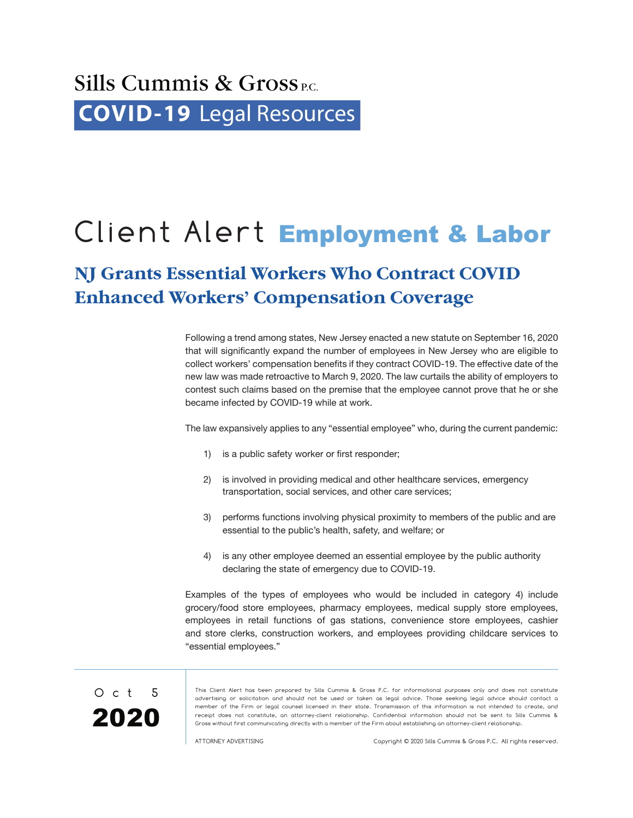## Sills Cummis  $\&$  Gross<sub>P.C.</sub> **COVID-19** [Legal Resources](http://www.sillscummis.com/practices/covid-19-legal-resources.aspx)

# Client Alert Employment & Labor

### **NJ Grants Essential Workers Who Contract COVID Enhanced Workers' Compensation Coverage**

Following a trend among states, New Jersey enacted a new statute on September 16, 2020 that will significantly expand the number of employees in New Jersey who are eligible to collect workers' compensation benefits if they contract COVID-19. The effective date of the new law was made retroactive to March 9, 2020. The law curtails the ability of employers to contest such claims based on the premise that the employee cannot prove that he or she became infected by COVID-19 while at work.

The law expansively applies to any "essential employee" who, during the current pandemic:

- 1) is a public safety worker or first responder;
- 2) is involved in providing medical and other healthcare services, emergency transportation, social services, and other care services;
- 3) performs functions involving physical proximity to members of the public and are essential to the public's health, safety, and welfare; or
- 4) is any other employee deemed an essential employee by the public authority declaring the state of emergency due to COVID-19.

Examples of the types of employees who would be included in category 4) include grocery/food store employees, pharmacy employees, medical supply store employees, employees in retail functions of gas stations, convenience store employees, cashier and store clerks, construction workers, and employees providing childcare services to "essential employees."



This Client Alert has been prepared by Sills Cummis & Gross P.C. for informational purposes only and does not constitute advertising or solicitation and should not be used or taken as legal advice. Those seeking legal advice should contact a member of the Firm or legal counsel licensed in their state. Transmission of this information is not intended to create, and receipt does not constitute, an attorney-client relationship. Confidential information should not be sent to Sills Cummis & Gross without first communicating directly with a member of the Firm about establishing an attorney-client relationship.

ATTORNEY ADVERTISING Copyright © 2020 Sills Cummis & Gross P.C. All rights reserved.